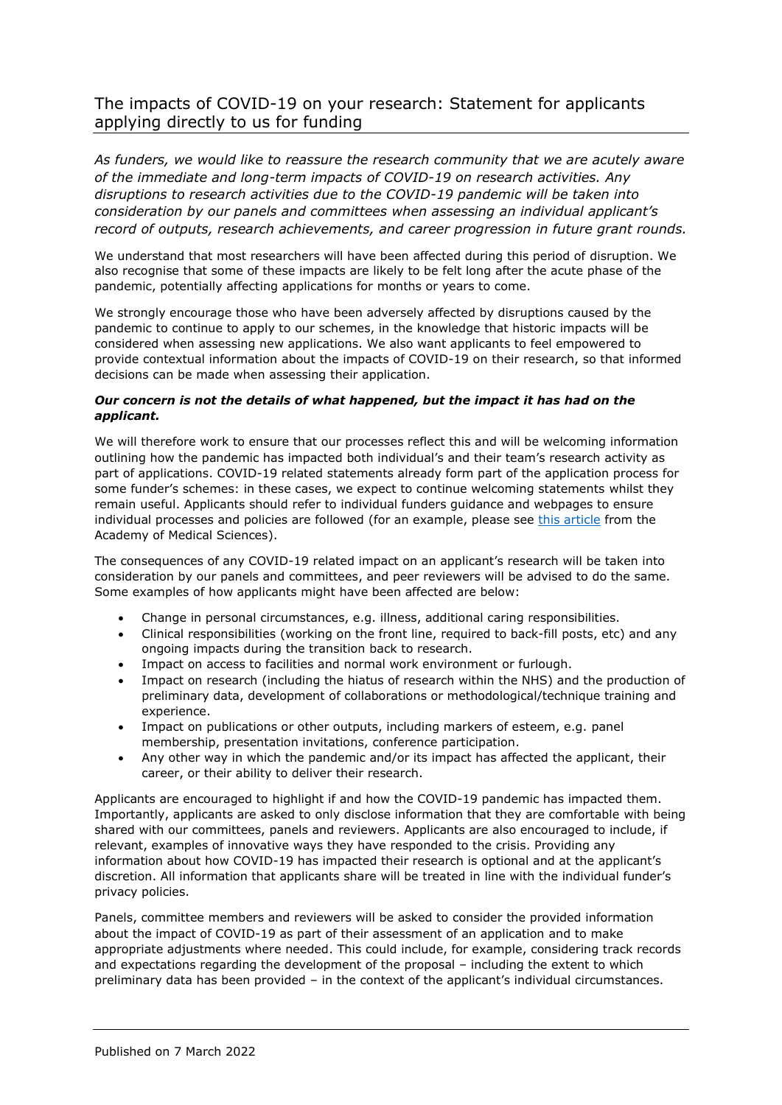## The impacts of COVID-19 on your research: Statement for applicants applying directly to us for funding

*As funders, we would like to reassure the research community that we are acutely aware of the immediate and long-term impacts of COVID-19 on research activities. Any disruptions to research activities due to the COVID-19 pandemic will be taken into consideration by our panels and committees when assessing an individual applicant's record of outputs, research achievements, and career progression in future grant rounds.*

We understand that most researchers will have been affected during this period of disruption. We also recognise that some of these impacts are likely to be felt long after the acute phase of the pandemic, potentially affecting applications for months or years to come.

We strongly encourage those who have been adversely affected by disruptions caused by the pandemic to continue to apply to our schemes, in the knowledge that historic impacts will be considered when assessing new applications. We also want applicants to feel empowered to provide contextual information about the impacts of COVID-19 on their research, so that informed decisions can be made when assessing their application.

## *Our concern is not the details of what happened, but the impact it has had on the applicant.*

We will therefore work to ensure that our processes reflect this and will be welcoming information outlining how the pandemic has impacted both individual's and their team's research activity as part of applications. COVID-19 related statements already form part of the application process for some funder's schemes: in these cases, we expect to continue welcoming statements whilst they remain useful. Applicants should refer to individual funders guidance and webpages to ensure individual processes and policies are followed (for an example, please see [this article](https://acmedsci.ac.uk/more/news/top-tips-for-factoring-covid-19-into-grant-applications) from the Academy of Medical Sciences).

The consequences of any COVID-19 related impact on an applicant's research will be taken into consideration by our panels and committees, and peer reviewers will be advised to do the same. Some examples of how applicants might have been affected are below:

- Change in personal circumstances, e.g. illness, additional caring responsibilities.
- Clinical responsibilities (working on the front line, required to back-fill posts, etc) and any ongoing impacts during the transition back to research.
- Impact on access to facilities and normal work environment or furlough.
- Impact on research (including the hiatus of research within the NHS) and the production of preliminary data, development of collaborations or methodological/technique training and experience.
- Impact on publications or other outputs, including markers of esteem, e.g. panel membership, presentation invitations, conference participation.
- Any other way in which the pandemic and/or its impact has affected the applicant, their career, or their ability to deliver their research.

Applicants are encouraged to highlight if and how the COVID-19 pandemic has impacted them. Importantly, applicants are asked to only disclose information that they are comfortable with being shared with our committees, panels and reviewers. Applicants are also encouraged to include, if relevant, examples of innovative ways they have responded to the crisis. Providing any information about how COVID-19 has impacted their research is optional and at the applicant's discretion. All information that applicants share will be treated in line with the individual funder's privacy policies.

Panels, committee members and reviewers will be asked to consider the provided information about the impact of COVID-19 as part of their assessment of an application and to make appropriate adjustments where needed. This could include, for example, considering track records and expectations regarding the development of the proposal – including the extent to which preliminary data has been provided – in the context of the applicant's individual circumstances.